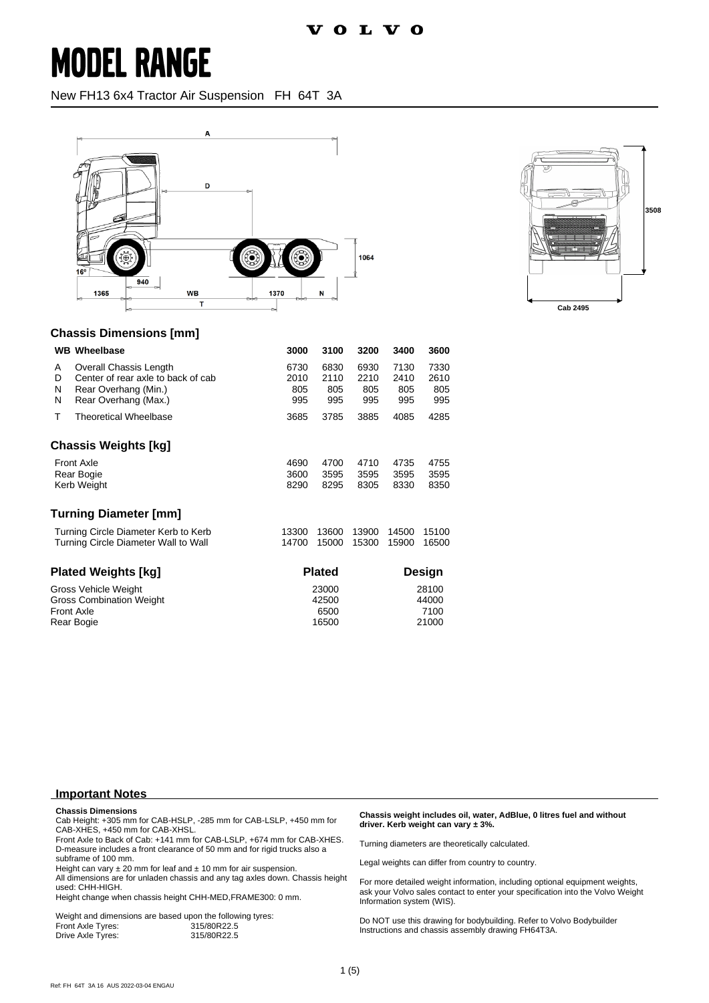### **MODEL RANGE**

New FH13 6x4 Tractor Air Suspension FH 64T 3A





#### **Chassis Dimensions [mm]**

|                                                                                     | <b>WB</b> Wheelbase                                                                                          | 3000                            | 3100                       | 3200                       | 3400                            | 3600                       |
|-------------------------------------------------------------------------------------|--------------------------------------------------------------------------------------------------------------|---------------------------------|----------------------------|----------------------------|---------------------------------|----------------------------|
| A<br>D<br>N<br>N                                                                    | Overall Chassis Length<br>Center of rear axle to back of cab<br>Rear Overhang (Min.)<br>Rear Overhang (Max.) | 6730<br>2010<br>805<br>995      | 6830<br>2110<br>805<br>995 | 6930<br>2210<br>805<br>995 | 7130<br>2410<br>805<br>995      | 7330<br>2610<br>805<br>995 |
| т                                                                                   | <b>Theoretical Wheelbase</b>                                                                                 | 3685                            | 3785                       | 3885                       | 4085                            | 4285                       |
|                                                                                     | Chassis Weights [kg]                                                                                         |                                 |                            |                            |                                 |                            |
| <b>Front Axle</b><br>Rear Bogie<br>Kerb Weight                                      |                                                                                                              | 4690<br>3600<br>8290            | 4700<br>3595<br>8295       | 4710<br>3595<br>8305       | 4735<br>3595<br>8330            | 4755<br>3595<br>8350       |
|                                                                                     | <b>Turning Diameter [mm]</b>                                                                                 |                                 |                            |                            |                                 |                            |
| Turning Circle Diameter Kerb to Kerb<br>Turning Circle Diameter Wall to Wall        |                                                                                                              | 13300<br>14700                  | 13600<br>15000             | 13900<br>15300             | 14500<br>15900                  | 15100<br>16500             |
| Plated Weights [kg]                                                                 |                                                                                                              | <b>Plated</b>                   |                            |                            | Design                          |                            |
| Gross Vehicle Weight<br><b>Gross Combination Weight</b><br>Front Axle<br>Rear Bogie |                                                                                                              | 23000<br>42500<br>6500<br>16500 |                            |                            | 28100<br>44000<br>7100<br>21000 |                            |

**Important Notes**

**Chassis Dimensions**

Cab Height: +305 mm for CAB-HSLP, -285 mm for CAB-LSLP, +450 mm for CAB-XHES, +450 mm for CAB-XHSL.

Front Axle to Back of Cab: +141 mm for CAB-LSLP, +674 mm for CAB-XHES. D-measure includes a front clearance of 50 mm and for rigid trucks also a subframe of 100 mm.

Height can vary  $\pm 20$  mm for leaf and  $\pm 10$  mm for air suspension.

All dimensions are for unladen chassis and any tag axles down. Chassis height used: CHH-HIGH.

Height change when chassis height CHH-MED,FRAME300: 0 mm.

|                   | Weight and dimensions are based upon the following tyres: |
|-------------------|-----------------------------------------------------------|
| Front Axle Tyres: | 315/80R22.5                                               |
| Drive Axle Tyres: | 315/80R22.5                                               |

**Chassis weight includes oil, water, AdBlue, 0 litres fuel and without driver. Kerb weight can vary ± 3%.**

Turning diameters are theoretically calculated.

Legal weights can differ from country to country.

For more detailed weight information, including optional equipment weights, ask your Volvo sales contact to enter your specification into the Volvo Weight Information system (WIS).

Do NOT use this drawing for bodybuilding. Refer to Volvo Bodybuilder Instructions and chassis assembly drawing FH64T3A.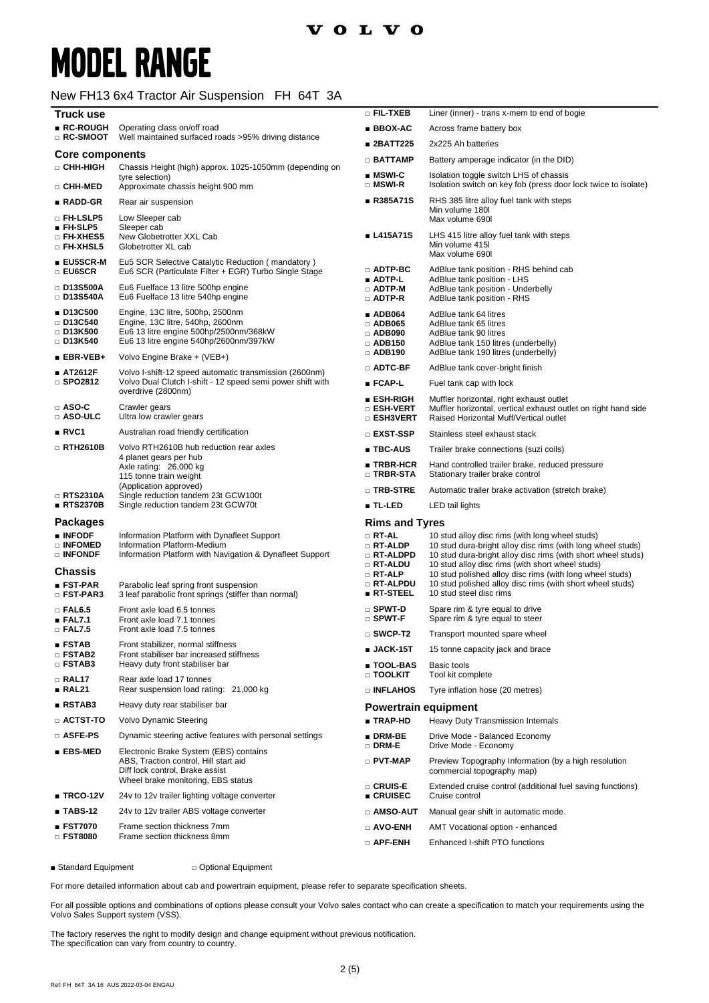## **MODEL RANGE**

#### New FH13 6x4 Tractor Air Suspension FH 64T 3A

| Truck use                                                    |                                                                                                                                                          | □ FIL-TXEB                                                               | Liner (inner) - trans x-mem to end of bogie                                                                                                                                                                                        |
|--------------------------------------------------------------|----------------------------------------------------------------------------------------------------------------------------------------------------------|--------------------------------------------------------------------------|------------------------------------------------------------------------------------------------------------------------------------------------------------------------------------------------------------------------------------|
| ∎ RC-ROUGH<br>$\Box$ RC-SMOOT                                | Operating class on/off road<br>Well maintained surfaced roads >95% driving distance                                                                      | ■ BBOX-AC                                                                | Across frame battery box                                                                                                                                                                                                           |
|                                                              |                                                                                                                                                          | ∎ 2BATT225                                                               | 2x225 Ah batteries                                                                                                                                                                                                                 |
| <b>Core components</b><br>□ CHH-HIGH                         | Chassis Height (high) approx. 1025-1050mm (depending on                                                                                                  | $\Box$ BATTAMP                                                           | Battery amperage indicator (in the DID)                                                                                                                                                                                            |
| □ CHH-MED                                                    | tyre selection)<br>Approximate chassis height 900 mm                                                                                                     | $\blacksquare$ MSWI-C<br>$\square$ MSWI-R                                | Isolation toggle switch LHS of chassis<br>Isolation switch on key fob (press door lock twice to isolate)                                                                                                                           |
| $\blacksquare$ RADD-GR                                       | Rear air suspension                                                                                                                                      | ■ R385A71S                                                               | RHS 385 litre alloy fuel tank with steps                                                                                                                                                                                           |
| □ FH-LSLP5<br>$\blacksquare$ FH-SLP5                         | Low Sleeper cab<br>Sleeper cab                                                                                                                           |                                                                          | Min volume 180l<br>Max volume 690I                                                                                                                                                                                                 |
| <b>D FH-XHES5</b><br>$\square$ FH-XHSL5                      | New Globetrotter XXL Cab<br>Globetrotter XL cab                                                                                                          | ■ L415A71S                                                               | LHS 415 litre alloy fuel tank with steps<br>Min volume 415<br>Max volume 690I                                                                                                                                                      |
| ■ EU5SCR-M<br>□ EU6SCR                                       | Eu5 SCR Selective Catalytic Reduction (mandatory)<br>Eu6 SCR (Particulate Filter + EGR) Turbo Single Stage                                               | $\Box$ ADTP-BC<br>$\blacksquare$ ADTP-L                                  | AdBlue tank position - RHS behind cab<br>AdBlue tank position - LHS                                                                                                                                                                |
| $\square$ D13S500A<br>□ D13S540A                             | Eu6 Fuelface 13 litre 500hp engine<br>Eu6 Fuelface 13 litre 540hp engine                                                                                 | $\Box$ ADTP-M<br>$\Box$ ADTP-R                                           | AdBlue tank position - Underbelly<br>AdBlue tank position - RHS                                                                                                                                                                    |
| ■ D13C500<br>□ D13C540<br>$\Box$ D13K500<br>□ D13K540        | Engine, 13C litre, 500hp, 2500nm<br>Engine, 13C litre, 540hp, 2600nm<br>Eu6 13 litre engine 500hp/2500nm/368kW<br>Eu6 13 litre engine 540hp/2600nm/397kW | $\blacksquare$ ADB064<br>$\Box$ ADB065<br>$\Box$ ADB090<br>$\Box$ ADB150 | AdBlue tank 64 litres<br>AdBlue tank 65 litres<br>AdBlue tank 90 litres<br>AdBlue tank 150 litres (underbelly)                                                                                                                     |
| $EBR-VEB+$                                                   | Volvo Engine Brake + (VEB+)                                                                                                                              | $\Box$ ADB190                                                            | AdBlue tank 190 litres (underbelly)                                                                                                                                                                                                |
| ■ AT2612F<br>$\Box$ SPO2812                                  | Volvo I-shift-12 speed automatic transmission (2600nm)<br>Volvo Dual Clutch I-shift - 12 speed semi power shift with                                     | □ ADTC-BF<br>■ FCAP-L                                                    | AdBlue tank cover-bright finish<br>Fuel tank cap with lock                                                                                                                                                                         |
| $\Box$ ASO-C<br>□ ASO-ULC                                    | overdrive (2800nm)<br>Crawler gears<br>Ultra low crawler gears                                                                                           | ■ ESH-RIGH<br>□ ESH-VERT<br>□ ESH3VERT                                   | Muffler horizontal, right exhaust outlet<br>Muffler horizontal, vertical exhaust outlet on right hand side<br>Raised Horizontal Muff/Vertical outlet                                                                               |
| RVC1                                                         | Australian road friendly certification                                                                                                                   | □ EXST-SSP                                                               | Stainless steel exhaust stack                                                                                                                                                                                                      |
| □ RTH2610B                                                   | Volvo RTH2610B hub reduction rear axles<br>4 planet gears per hub<br>Axle rating: 26,000 kg<br>115 tonne train weight                                    | ■ TBC-AUS                                                                | Trailer brake connections (suzi coils)                                                                                                                                                                                             |
|                                                              |                                                                                                                                                          | $\blacksquare$ TRBR-HCR<br>□ TRBR-STA                                    | Hand controlled trailer brake, reduced pressure<br>Stationary trailer brake control                                                                                                                                                |
| $\Box$ RTS2310A                                              | (Application approved)<br>Single reduction tandem 23t GCW100t                                                                                            | □ TRB-STRE                                                               | Automatic trailer brake activation (stretch brake)                                                                                                                                                                                 |
| RTS2370B                                                     | Single reduction tandem 23t GCW70t                                                                                                                       | $\blacksquare$ TL-LED                                                    | LED tail lights                                                                                                                                                                                                                    |
| <b>Packages</b>                                              |                                                                                                                                                          | <b>Rims and Tyres</b>                                                    |                                                                                                                                                                                                                                    |
| <b>INFODE</b><br>$\square$ Infomed<br>$\square$ infondf      | Information Platform with Dynafleet Support<br>Information Platform-Medium<br>Information Platform with Navigation & Dynafleet Support                   | $\Box$ RT-AL<br>$\Box$ RT-ALDP<br>□ RT-ALDPD<br>□ RT-ALDU                | 10 stud alloy disc rims (with long wheel studs)<br>10 stud dura-bright alloy disc rims (with long wheel studs)<br>10 stud dura-bright alloy disc rims (with short wheel studs)<br>10 stud alloy disc rims (with short wheel studs) |
| Chassis<br>$\blacksquare$ FST-PAR<br>$\square$ FST-PAR3      | Parabolic leaf spring front suspension<br>3 leaf parabolic front springs (stiffer than normal)                                                           | □ RT-ALP<br><b>D RT-ALPDU</b><br>$\blacksquare$ RT-STEEL                 | 10 stud polished alloy disc rims (with long wheel studs)<br>10 stud polished alloy disc rims (with short wheel studs)<br>10 stud steel disc rims                                                                                   |
| $\Box$ FAL6.5<br>EAL7.1                                      | Front axle load 6.5 tonnes<br>Front axle load 7.1 tonnes                                                                                                 | □ SPWT-D<br>$\square$ SPWT-F                                             | Spare rim & tyre equal to drive<br>Spare rim & tyre equal to steer                                                                                                                                                                 |
| $\Box$ FAL7.5                                                | Front axle load 7.5 tonnes                                                                                                                               | $\square$ SWCP-T2                                                        | Transport mounted spare wheel                                                                                                                                                                                                      |
| $\blacksquare$ FSTAB<br>$\square$ FSTAB2<br>$\square$ FSTAB3 | Front stabilizer, normal stiffness<br>Front stabiliser bar increased stiffness<br>Heavy duty front stabiliser bar                                        | $\blacksquare$ JACK-15T<br>∎ TOOL-BAS                                    | 15 tonne capacity jack and brace<br>Basic tools                                                                                                                                                                                    |
| □ RAL17<br>RAL21                                             | Rear axle load 17 tonnes<br>Rear suspension load rating: 21,000 kg                                                                                       | $\Box$ TOOLKIT<br>□ INFLAHOS                                             | Tool kit complete<br>Tyre inflation hose (20 metres)                                                                                                                                                                               |
| RSTAB3                                                       | Heavy duty rear stabiliser bar                                                                                                                           | <b>Powertrain equipment</b>                                              |                                                                                                                                                                                                                                    |
| $\scriptstyle\Box$ actst-to                                  | Volvo Dynamic Steering                                                                                                                                   | <b>TRAP-HD</b>                                                           | Heavy Duty Transmission Internals                                                                                                                                                                                                  |
| □ ASFE-PS                                                    | Dynamic steering active features with personal settings                                                                                                  | $\blacksquare$ DRM-BE<br>$\square$ DRM-E                                 | Drive Mode - Balanced Economy<br>Drive Mode - Economy                                                                                                                                                                              |
| $\blacksquare$ EBS-MED                                       | Electronic Brake System (EBS) contains<br>ABS, Traction control, Hill start aid<br>Diff lock control, Brake assist<br>Wheel brake monitoring, EBS status | $\Box$ PVT-MAP                                                           | Preview Topography Information (by a high resolution<br>commercial topography map)                                                                                                                                                 |
| ■ TRCO-12V                                                   | 24v to 12v trailer lighting voltage converter                                                                                                            | □ CRUIS-E<br>■ CRUISEC                                                   | Extended cruise control (additional fuel saving functions)<br>Cruise control                                                                                                                                                       |
| $\blacksquare$ TABS-12                                       | 24v to 12v trailer ABS voltage converter                                                                                                                 | $\Box$ amso-aut                                                          | Manual gear shift in automatic mode.                                                                                                                                                                                               |
| ■ FST7070                                                    | Frame section thickness 7mm<br>Frame section thickness 8mm                                                                                               | □ AVO-ENH                                                                | AMT Vocational option - enhanced                                                                                                                                                                                                   |
| □ FST8080                                                    |                                                                                                                                                          | $\Box$ APF-ENH                                                           | Enhanced I-shift PTO functions                                                                                                                                                                                                     |

■ Standard Equipment □ Optional Equipment

For more detailed information about cab and powertrain equipment, please refer to separate specification sheets.

For all possible options and combinations of options please consult your Volvo sales contact who can create a specification to match your requirements using the Volvo Sales Support system (VSS).

The factory reserves the right to modify design and change equipment without previous notification. The specification can vary from country to country.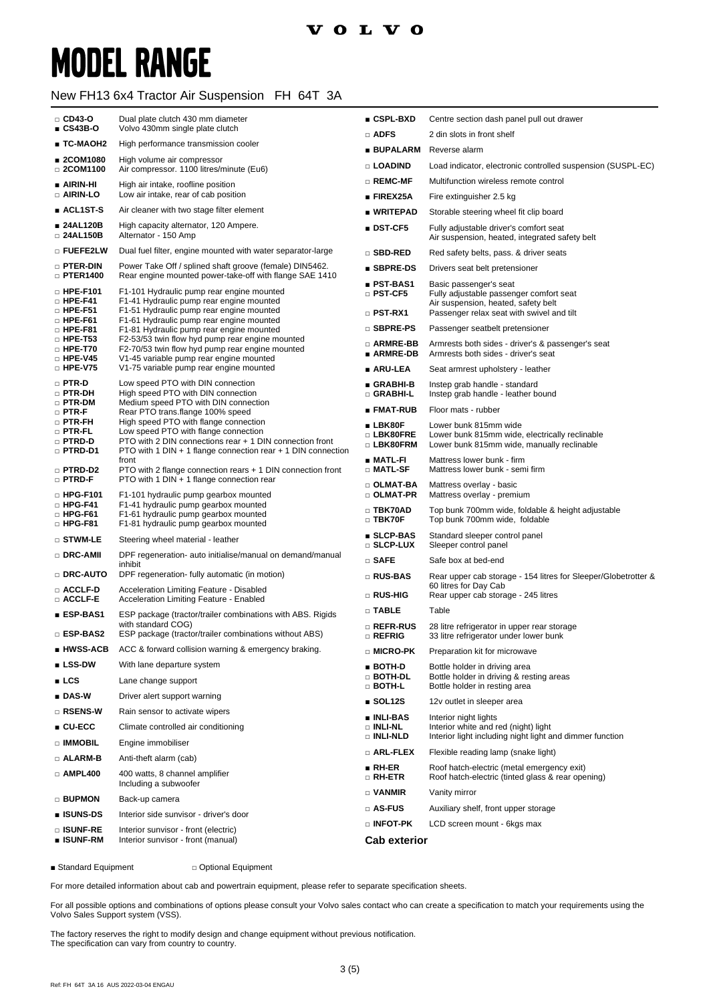### **VOLVO**

# **MODEL RANGE**

#### New FH13 6x4 Tractor Air Suspension FH 64T 3A

| $\Box$ CD43-O                                              | Dual plate clutch 430 mm diameter                                                                                                                                                                             | $\blacksquare$ CSPL-BXD              | Centre section dash panel pull out drawer                                                                             |  |  |
|------------------------------------------------------------|---------------------------------------------------------------------------------------------------------------------------------------------------------------------------------------------------------------|--------------------------------------|-----------------------------------------------------------------------------------------------------------------------|--|--|
| $CSA3B-O$                                                  | Volvo 430mm single plate clutch                                                                                                                                                                               | $\Box$ ADFS                          | 2 din slots in front shelf                                                                                            |  |  |
| ∎ TC-MAOH2<br>■ 2COM1080                                   | High performance transmission cooler                                                                                                                                                                          | <b>BUPALARM</b>                      | Reverse alarm                                                                                                         |  |  |
| □ 2COM1100                                                 | High volume air compressor<br>Air compressor. 1100 litres/minute (Eu6)                                                                                                                                        | □ LOADIND                            | Load indicator, electronic controlled suspension (SUSPL-EC)                                                           |  |  |
| $\blacksquare$ AIRIN-HI                                    | High air intake, roofline position                                                                                                                                                                            | $\square$ REMC-MF                    | Multifunction wireless remote control                                                                                 |  |  |
| □ AIRIN-LO                                                 | Low air intake, rear of cab position                                                                                                                                                                          | $\blacksquare$ FIREX25A              | Fire extinguisher 2.5 kg                                                                                              |  |  |
| $\blacksquare$ ACL1ST-S                                    | Air cleaner with two stage filter element                                                                                                                                                                     | ∎ WRITEPAD                           | Storable steering wheel fit clip board                                                                                |  |  |
| ■ 24AL120B<br>□ 24AL150B                                   | High capacity alternator, 120 Ampere.<br>Alternator - 150 Amp                                                                                                                                                 | $\blacksquare$ DST-CF5               | Fully adjustable driver's comfort seat<br>Air suspension, heated, integrated safety belt                              |  |  |
| □ FUEFE2LW                                                 | Dual fuel filter, engine mounted with water separator-large                                                                                                                                                   | □ SBD-RED                            | Red safety belts, pass. & driver seats                                                                                |  |  |
| □ PTER-DIN<br>$\Box$ PTER1400                              | Power Take Off / splined shaft groove (female) DIN5462.<br>Rear engine mounted power-take-off with flange SAE 1410                                                                                            | ■ SBPRE-DS                           | Drivers seat belt pretensioner                                                                                        |  |  |
| $\Box$ HPE-F101<br>$\Box$ HPE-F41                          | F1-101 Hydraulic pump rear engine mounted<br>F1-41 Hydraulic pump rear engine mounted                                                                                                                         | ■ PST-BAS1<br>□ PST-CF5              | Basic passenger's seat<br>Fully adjustable passenger comfort seat<br>Air suspension, heated, safety belt              |  |  |
| $\Box$ HPE-F51<br>$\Box$ HPE-F61                           | F1-51 Hydraulic pump rear engine mounted<br>F1-61 Hydraulic pump rear engine mounted                                                                                                                          | $\Box$ PST-RX1                       | Passenger relax seat with swivel and tilt                                                                             |  |  |
| $\Box$ HPE-F81                                             | F1-81 Hydraulic pump rear engine mounted                                                                                                                                                                      | □ SBPRE-PS                           | Passenger seatbelt pretensioner                                                                                       |  |  |
| $\Box$ HPE-T53<br>$\Box$ HPE-T70<br>$\Box$ HPE-V45         | F2-53/53 twin flow hyd pump rear engine mounted<br>F2-70/53 twin flow hyd pump rear engine mounted<br>V1-45 variable pump rear engine mounted<br>V1-75 variable pump rear engine mounted                      | □ ARMRE-BB<br>■ ARMRE-DB             | Armrests both sides - driver's & passenger's seat<br>Armrests both sides - driver's seat                              |  |  |
| $\Box$ HPE-V75                                             |                                                                                                                                                                                                               | ∎ ARU-LEA                            | Seat armrest upholstery - leather                                                                                     |  |  |
| $\Box$ PTR-D<br>□ PTR-DH<br>$\Box$ PTR-DM                  | Low speed PTO with DIN connection<br>High speed PTO with DIN connection<br>Medium speed PTO with DIN connection                                                                                               | ∎ GRABHI-B<br>□ GRABHI-L             | Instep grab handle - standard<br>Instep grab handle - leather bound                                                   |  |  |
| $\Box$ PTR-F                                               | Rear PTO trans.flange 100% speed                                                                                                                                                                              | ∎ FMAT-RUB                           | Floor mats - rubber                                                                                                   |  |  |
| $\square$ PTR-FH<br>$\Box$ PTR-FL<br>□ PTRD-D<br>□ PTRD-D1 | High speed PTO with flange connection<br>Low speed PTO with flange connection<br>PTO with 2 DIN connections rear + 1 DIN connection front<br>PTO with 1 DIN $+$ 1 flange connection rear $+$ 1 DIN connection | ∎ LBK80F<br>□ LBK80FRE<br>□ LBK80FRM | Lower bunk 815mm wide<br>Lower bunk 815mm wide, electrically reclinable<br>Lower bunk 815mm wide, manually reclinable |  |  |
| □ PTRD-D2                                                  | front<br>PTO with 2 flange connection rears + 1 DIN connection front                                                                                                                                          | ∎ MATL-FI<br>□ MATL-SF               | Mattress lower bunk - firm<br>Mattress lower bunk - semi firm                                                         |  |  |
| □ PTRD-F<br>$\Box$ HPG-F101                                | PTO with 1 DIN + 1 flange connection rear<br>F1-101 hydraulic pump gearbox mounted                                                                                                                            | □ OLMAT-BA<br>□ OLMAT-PR             | Mattress overlay - basic<br>Mattress overlay - premium                                                                |  |  |
| $\Box$ HPG-F41<br>$\Box$ HPG-F61<br>$\Box$ HPG-F81         | F1-41 hydraulic pump gearbox mounted<br>F1-61 hydraulic pump gearbox mounted<br>F1-81 hydraulic pump gearbox mounted                                                                                          | $\Box$ TBK70AD<br>$\Box$ TBK70F      | Top bunk 700mm wide, foldable & height adjustable<br>Top bunk 700mm wide, foldable                                    |  |  |
| $\square$ stwm-le                                          | Steering wheel material - leather                                                                                                                                                                             | ■ SLCP-BAS<br>□ SLCP-LUX             | Standard sleeper control panel<br>Sleeper control panel                                                               |  |  |
| □ DRC-AMII                                                 | DPF regeneration- auto initialise/manual on demand/manual<br>inhibit                                                                                                                                          | $\square$ SAFE                       | Safe box at bed-end                                                                                                   |  |  |
| □ DRC-AUTO                                                 | DPF regeneration- fully automatic (in motion)                                                                                                                                                                 | □ RUS-BAS                            | Rear upper cab storage - 154 litres for Sleeper/Globetrotter &                                                        |  |  |
| □ ACCLF-D<br>□ ACCLF-E                                     | Acceleration Limiting Feature - Disabled<br>Acceleration Limiting Feature - Enabled                                                                                                                           | □ RUS-HIG                            | 60 litres for Day Cab<br>Rear upper cab storage - 245 litres                                                          |  |  |
| ■ ESP-BAS1                                                 | ESP package (tractor/trailer combinations with ABS. Rigids                                                                                                                                                    | $\Box$ TABLE                         | Table                                                                                                                 |  |  |
| □ ESP-BAS2                                                 | with standard COG)<br>ESP package (tractor/trailer combinations without ABS)                                                                                                                                  | □ REFR-RUS<br>□ REFRIG               | 28 litre refrigerator in upper rear storage<br>33 litre refrigerator under lower bunk                                 |  |  |
| ∎ HWSS-ACB                                                 | ACC & forward collision warning & emergency braking.                                                                                                                                                          | □ MICRO-PK                           | Preparation kit for microwave                                                                                         |  |  |
| $\blacksquare$ LSS-DW                                      | With lane departure system                                                                                                                                                                                    | ∎ BOTH-D<br>□ BOTH-DL                | Bottle holder in driving area<br>Bottle holder in driving & resting areas                                             |  |  |
| LCS                                                        | Lane change support                                                                                                                                                                                           | $\Box$ BOTH-L                        | Bottle holder in resting area                                                                                         |  |  |
| $\blacksquare$ DAS-W                                       | Driver alert support warning                                                                                                                                                                                  | $\blacksquare$ SOL12S                | 12v outlet in sleeper area                                                                                            |  |  |
| $\square$ RSENS-W                                          | Rain sensor to activate wipers                                                                                                                                                                                | $\blacksquare$ INLI-BAS              | Interior night lights                                                                                                 |  |  |
| $CU-ECC$                                                   | Climate controlled air conditioning                                                                                                                                                                           | $\Box$ INLI-NL<br><b>DINLI-NLD</b>   | Interior white and red (night) light<br>Interior light including night light and dimmer function                      |  |  |
| □ IMMOBIL                                                  | Engine immobiliser                                                                                                                                                                                            | $\square$ ARL-FLEX                   | Flexible reading lamp (snake light)                                                                                   |  |  |
| $\Box$ ALARM-B                                             | Anti-theft alarm (cab)                                                                                                                                                                                        | ∎ RH-ER                              | Roof hatch-electric (metal emergency exit)                                                                            |  |  |
| $\Box$ AMPL400                                             | 400 watts, 8 channel amplifier<br>Including a subwoofer                                                                                                                                                       | $\square$ RH-ETR<br>$\Box$ VANMIR    | Roof hatch-electric (tinted glass & rear opening)<br>Vanity mirror                                                    |  |  |
| <b>BUPMON</b>                                              | Back-up camera                                                                                                                                                                                                | $\square$ AS-FUS                     | Auxiliary shelf, front upper storage                                                                                  |  |  |
| ■ ISUNS-DS                                                 | Interior side sunvisor - driver's door                                                                                                                                                                        | □ INFOT-PK                           | LCD screen mount - 6kgs max                                                                                           |  |  |
| □ ISUNF-RE<br>∎ ISUNF-RM                                   | Interior sunvisor - front (electric)<br>Interior sunvisor - front (manual)                                                                                                                                    | <b>Cab exterior</b>                  |                                                                                                                       |  |  |

■ Standard Equipment □ Optional Equipment

For more detailed information about cab and powertrain equipment, please refer to separate specification sheets.

For all possible options and combinations of options please consult your Volvo sales contact who can create a specification to match your requirements using the Volvo Sales Support system (VSS).

The factory reserves the right to modify design and change equipment without previous notification. The specification can vary from country to country.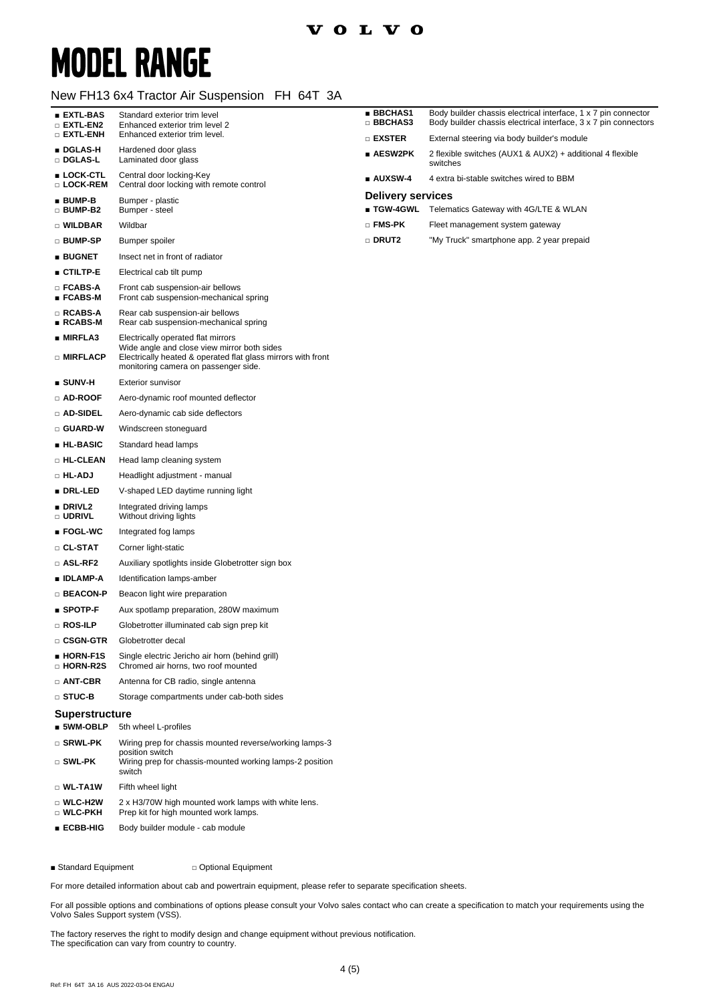### **VOLVO**

## **MODEL RANGE**

#### New FH13 6x4 Tractor Air Suspension FH 64T 3A

| ∎ EXTL-BAS<br>$\square$ extl-en2          | Standard exterior trim level<br>Enhanced exterior trim level 2                                                                                      | <b>BBCHAS1</b><br>□ BBCHAS3                         | Body builder chassis electrical interface, 1 x 7 pin connector<br>Body builder chassis electrical interface, 3 x 7 pin connectors |
|-------------------------------------------|-----------------------------------------------------------------------------------------------------------------------------------------------------|-----------------------------------------------------|-----------------------------------------------------------------------------------------------------------------------------------|
| $\square$ extl-enh                        | Enhanced exterior trim level.                                                                                                                       | $\square$ exster                                    | External steering via body builder's module                                                                                       |
| ∎ DGLAS-H<br>□ DGLAS-L                    | Hardened door glass<br>Laminated door glass                                                                                                         | $\blacksquare$ AESW2PK                              | 2 flexible switches (AUX1 & AUX2) + additional 4 flexible<br>switches                                                             |
| ∎ LOCK-CTL<br>□ LOCK-REM                  | Central door locking-Key<br>Central door locking with remote control                                                                                | ■ AUXSW-4                                           | 4 extra bi-stable switches wired to BBM                                                                                           |
| ∎ BUMP-B<br>□ BUMP-B2                     | Bumper - plastic<br>Bumper - steel                                                                                                                  | <b>Delivery services</b><br>$\blacksquare$ TGW-4GWL | Telematics Gateway with 4G/LTE & WLAN                                                                                             |
| □ WILDBAR                                 | Wildbar                                                                                                                                             | $\sqcap$ FMS-PK                                     | Fleet management system gateway                                                                                                   |
| □ BUMP-SP                                 | Bumper spoiler                                                                                                                                      | □ DRUT2                                             | "My Truck" smartphone app. 2 year prepaid                                                                                         |
| ∎ BUGNET                                  | Insect net in front of radiator                                                                                                                     |                                                     |                                                                                                                                   |
| $\blacksquare$ ctiltp-e                   | Electrical cab tilt pump                                                                                                                            |                                                     |                                                                                                                                   |
| □ FCABS-A<br>∎ FCABS-M                    | Front cab suspension-air bellows<br>Front cab suspension-mechanical spring                                                                          |                                                     |                                                                                                                                   |
| □ RCABS-A<br>∎ RCABS-M                    | Rear cab suspension-air bellows<br>Rear cab suspension-mechanical spring                                                                            |                                                     |                                                                                                                                   |
| ∎ MIRFLA3                                 | Electrically operated flat mirrors                                                                                                                  |                                                     |                                                                                                                                   |
| □ MIRFLACP                                | Wide angle and close view mirror both sides<br>Electrically heated & operated flat glass mirrors with front<br>monitoring camera on passenger side. |                                                     |                                                                                                                                   |
| ∎ SUNV-H                                  | <b>Exterior sunvisor</b>                                                                                                                            |                                                     |                                                                                                                                   |
| □ AD-ROOF                                 | Aero-dynamic roof mounted deflector                                                                                                                 |                                                     |                                                                                                                                   |
| $\square$ ad-sidel                        | Aero-dynamic cab side deflectors                                                                                                                    |                                                     |                                                                                                                                   |
| $\square$ guard-w                         | Windscreen stoneguard                                                                                                                               |                                                     |                                                                                                                                   |
| ∎ HL-BASIC                                | Standard head lamps                                                                                                                                 |                                                     |                                                                                                                                   |
| □ HL-CLEAN                                | Head lamp cleaning system                                                                                                                           |                                                     |                                                                                                                                   |
| □ HL-ADJ                                  | Headlight adjustment - manual                                                                                                                       |                                                     |                                                                                                                                   |
| ∎ DRL-LED                                 | V-shaped LED daytime running light                                                                                                                  |                                                     |                                                                                                                                   |
| $\blacksquare$ DRIVL2<br>$\square$ udrivl | Integrated driving lamps<br>Without driving lights                                                                                                  |                                                     |                                                                                                                                   |
| ∎ FOGL-WC                                 | Integrated fog lamps                                                                                                                                |                                                     |                                                                                                                                   |
| □ CL-STAT                                 | Corner light-static                                                                                                                                 |                                                     |                                                                                                                                   |
| □ ASL-RF2                                 | Auxiliary spotlights inside Globetrotter sign box                                                                                                   |                                                     |                                                                                                                                   |
| ∎ IDLAMP-A                                | Identification lamps-amber                                                                                                                          |                                                     |                                                                                                                                   |
| □ BEACON-P                                | Beacon light wire preparation                                                                                                                       |                                                     |                                                                                                                                   |
| $\blacksquare$ SPOTP-F                    | Aux spotlamp preparation, 280W maximum                                                                                                              |                                                     |                                                                                                                                   |
| □ ROS-ILP                                 | Globetrotter illuminated cab sign prep kit                                                                                                          |                                                     |                                                                                                                                   |
| □ CSGN-GTR                                | Globetrotter decal                                                                                                                                  |                                                     |                                                                                                                                   |
| <b>HORN-F1S</b><br>□ HORN-R2S             | Single electric Jericho air horn (behind grill)<br>Chromed air horns, two roof mounted                                                              |                                                     |                                                                                                                                   |
| $\Box$ ANT-CBR                            | Antenna for CB radio, single antenna                                                                                                                |                                                     |                                                                                                                                   |
| □ STUC-B                                  | Storage compartments under cab-both sides                                                                                                           |                                                     |                                                                                                                                   |
| Superstructure                            |                                                                                                                                                     |                                                     |                                                                                                                                   |
| $\blacksquare$ 5WM-OBLP                   | 5th wheel L-profiles                                                                                                                                |                                                     |                                                                                                                                   |
| □ SRWL-PK<br>□ SWL-PK                     | Wiring prep for chassis mounted reverse/working lamps-3<br>position switch<br>Wiring prep for chassis-mounted working lamps-2 position              |                                                     |                                                                                                                                   |
|                                           | switch                                                                                                                                              |                                                     |                                                                                                                                   |
| $\square$ WL-TA1W                         | Fifth wheel light                                                                                                                                   |                                                     |                                                                                                                                   |
| $\square$ WLC-H2W<br>□ WLC-PKH            | 2 x H3/70W high mounted work lamps with white lens.<br>Prep kit for high mounted work lamps.                                                        |                                                     |                                                                                                                                   |
| ∎ ECBB-HIG                                | Body builder module - cab module                                                                                                                    |                                                     |                                                                                                                                   |

■ Standard Equipment □ Optional Equipment

For more detailed information about cab and powertrain equipment, please refer to separate specification sheets.

For all possible options and combinations of options please consult your Volvo sales contact who can create a specification to match your requirements using the Volvo Sales Support system (VSS).

The factory reserves the right to modify design and change equipment without previous notification. The specification can vary from country to country.